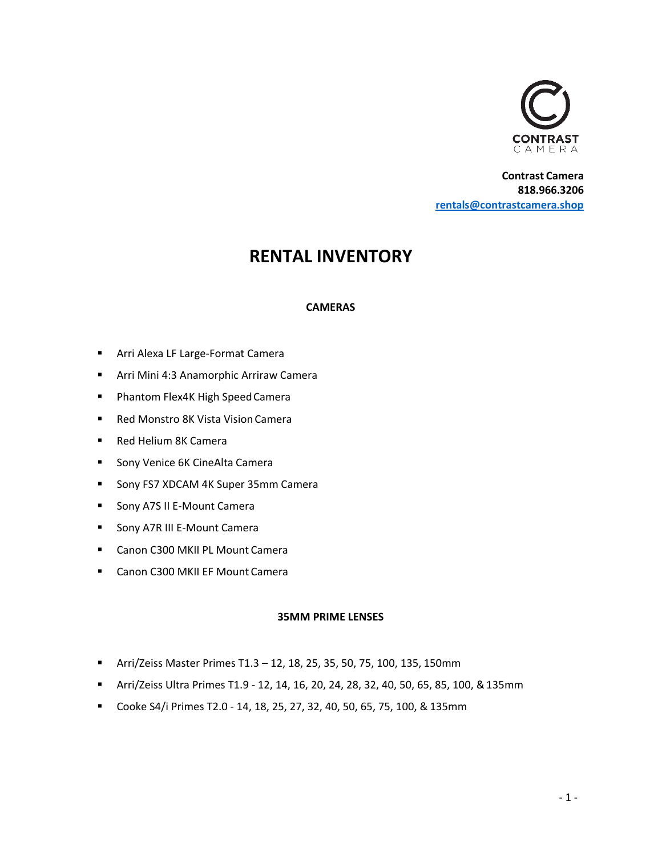

**Contrast Camera 818.966.3206 [rentals@contrastcamera.shop](mailto:rentals@contrastcamera.shop)**

# **RENTAL INVENTORY**

# **CAMERAS**

- Arri Alexa LF Large-Format Camera
- Arri Mini 4:3 Anamorphic Arriraw Camera
- Phantom Flex4K High Speed Camera
- Red Monstro 8K Vista Vision Camera
- Red Helium 8K Camera
- Sony Venice 6K CineAlta Camera
- Sony FS7 XDCAM 4K Super 35mm Camera
- Sony A7S II E-Mount Camera
- Sony A7R III E-Mount Camera
- Canon C300 MKII PL Mount Camera
- Canon C300 MKII EF Mount Camera

#### **35MM PRIME LENSES**

- Arri/Zeiss Master Primes T1.3 12, 18, 25, 35, 50, 75, 100, 135, 150mm
- Arri/Zeiss Ultra Primes T1.9 12, 14, 16, 20, 24, 28, 32, 40, 50, 65, 85, 100, &135mm
- Cooke S4/i Primes T2.0 14, 18, 25, 27, 32, 40, 50, 65, 75, 100, & 135mm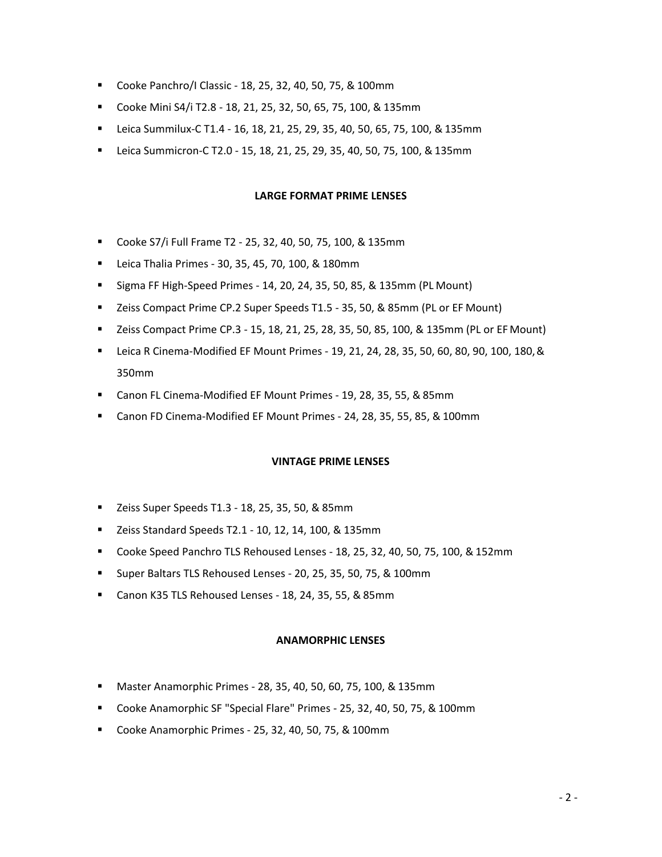- Cooke Panchro/I Classic 18, 25, 32, 40, 50, 75, & 100mm
- Cooke Mini S4/i T2.8 18, 21, 25, 32, 50, 65, 75, 100, & 135mm
- Leica Summilux-C T1.4 16, 18, 21, 25, 29, 35, 40, 50, 65, 75, 100, & 135mm
- Leica Summicron-C T2.0 15, 18, 21, 25, 29, 35, 40, 50, 75, 100, & 135mm

#### **LARGE FORMAT PRIME LENSES**

- Cooke S7/i Full Frame T2 25, 32, 40, 50, 75, 100, & 135mm
- Leica Thalia Primes 30, 35, 45, 70, 100, & 180mm
- Sigma FF High-Speed Primes 14, 20, 24, 35, 50, 85, & 135mm (PL Mount)
- Zeiss Compact Prime CP.2 Super Speeds T1.5 35, 50, & 85mm (PL or EF Mount)
- Zeiss Compact Prime CP.3 15, 18, 21, 25, 28, 35, 50, 85, 100, & 135mm (PL or EF Mount)
- Leica R Cinema-Modified EF Mount Primes 19, 21, 24, 28, 35, 50, 60, 80, 90, 100, 180, & 350mm
- Canon FL Cinema-Modified EF Mount Primes 19, 28, 35, 55, & 85mm
- Canon FD Cinema-Modified EF Mount Primes 24, 28, 35, 55, 85, & 100mm

#### **VINTAGE PRIME LENSES**

- Zeiss Super Speeds T1.3 18, 25, 35, 50, & 85mm
- Zeiss Standard Speeds T2.1 10, 12, 14, 100, & 135mm
- Cooke Speed Panchro TLS Rehoused Lenses 18, 25, 32, 40, 50, 75, 100, & 152mm
- Super Baltars TLS Rehoused Lenses 20, 25, 35, 50, 75, & 100mm
- Canon K35 TLS Rehoused Lenses 18, 24, 35, 55, & 85mm

#### **ANAMORPHIC LENSES**

- Master Anamorphic Primes 28, 35, 40, 50, 60, 75, 100, & 135mm
- Cooke Anamorphic SF "Special Flare" Primes 25, 32, 40, 50, 75, & 100mm
- Cooke Anamorphic Primes 25, 32, 40, 50, 75, & 100mm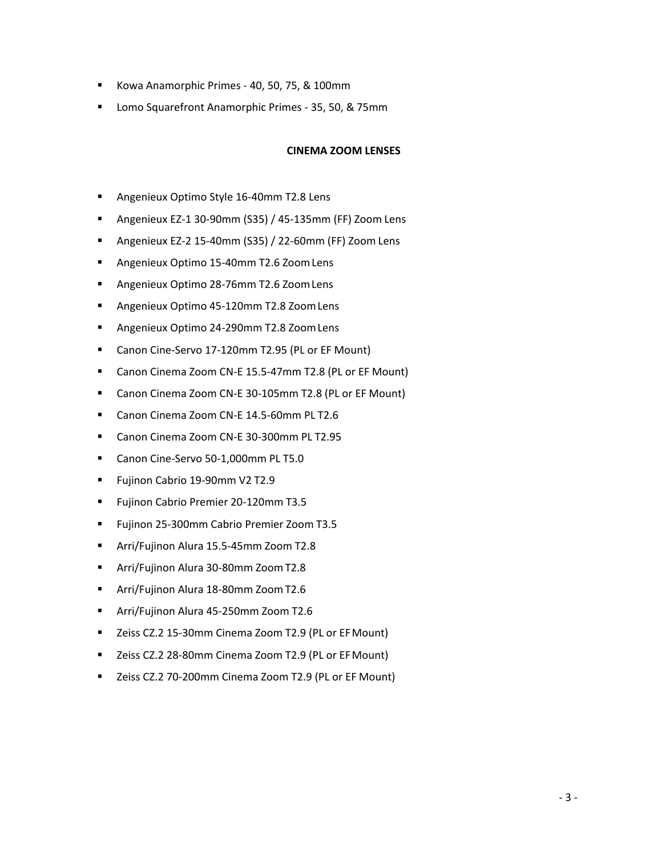- Kowa Anamorphic Primes 40, 50, 75, & 100mm
- Lomo Squarefront Anamorphic Primes 35, 50, & 75mm

# **CINEMA ZOOM LENSES**

- Angenieux Optimo Style 16-40mm T2.8 Lens
- Angenieux EZ-1 30-90mm (S35) / 45-135mm (FF) Zoom Lens
- Angenieux EZ-2 15-40mm (S35) / 22-60mm (FF) Zoom Lens
- Angenieux Optimo 15-40mm T2.6 Zoom Lens
- Angenieux Optimo 28-76mm T2.6 Zoom Lens
- Angenieux Optimo 45-120mm T2.8 Zoom Lens
- Angenieux Optimo 24-290mm T2.8 Zoom Lens
- Canon Cine-Servo 17-120mm T2.95 (PL or EF Mount)
- Canon Cinema Zoom CN-E 15.5-47mm T2.8 (PL or EF Mount)
- Canon Cinema Zoom CN-E 30-105mm T2.8 (PL or EF Mount)
- Canon Cinema Zoom CN-E 14.5-60mm PL T2.6
- Canon Cinema Zoom CN-E 30-300mm PL T2.95
- Canon Cine-Servo 50-1,000mm PL T5.0
- Fujinon Cabrio 19-90mm V2 T2.9
- Fujinon Cabrio Premier 20-120mm T3.5
- **EXECT:** Fujinon 25-300mm Cabrio Premier Zoom T3.5
- Arri/Fujinon Alura 15.5-45mm Zoom T2.8
- Arri/Fujinon Alura 30-80mm Zoom T2.8
- Arri/Fujinon Alura 18-80mm Zoom T2.6
- Arri/Fujinon Alura 45-250mm Zoom T2.6
- Zeiss CZ.2 15-30mm Cinema Zoom T2.9 (PL or EF Mount)
- Zeiss CZ.2 28-80mm Cinema Zoom T2.9 (PL or EF Mount)
- Zeiss CZ.2 70-200mm Cinema Zoom T2.9 (PL or EF Mount)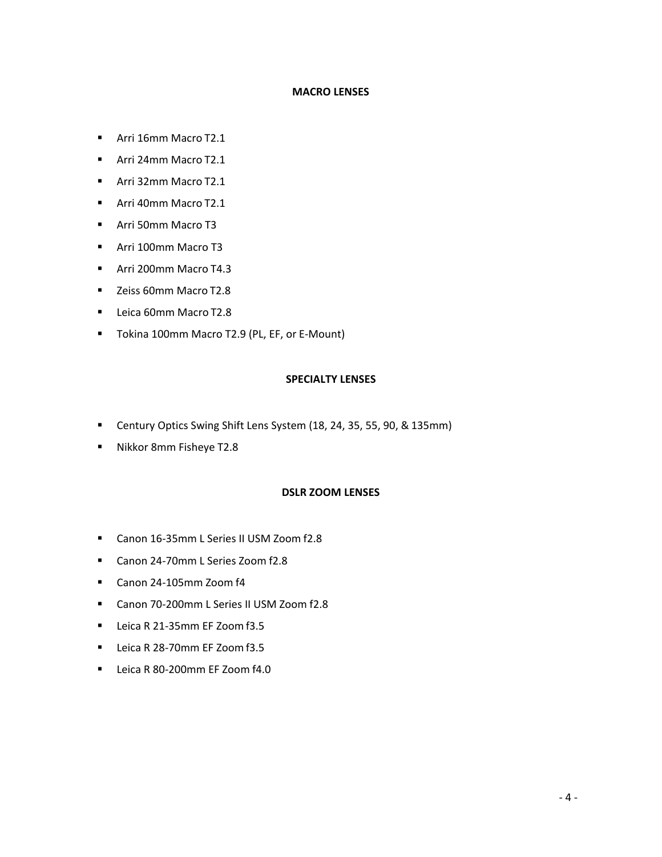# **MACRO LENSES**

- Arri 16mm Macro T2.1
- Arri 24mm Macro T2.1
- Arri 32mm Macro T2.1
- Arri 40mm Macro T2.1
- Arri 50mm Macro T3
- Arri 100mm Macro T3
- Arri 200mm Macro T4.3
- Zeiss 60mm Macro T2.8
- Leica 60mm Macro T2.8
- Tokina 100mm Macro T2.9 (PL, EF, or E-Mount)

# **SPECIALTY LENSES**

- Century Optics Swing Shift Lens System (18, 24, 35, 55, 90, & 135mm)
- Nikkor 8mm Fisheye T2.8

#### **DSLR ZOOM LENSES**

- Canon 16-35mm L Series II USM Zoom f2.8
- Canon 24-70mm L Series Zoom f2.8
- Canon 24-105mm Zoom f4
- Canon 70-200mm L Series II USM Zoom f2.8
- Leica R 21-35mm EF Zoom f3.5
- Leica R 28-70mm EF Zoom f3.5
- Leica R 80-200mm EF Zoom f4.0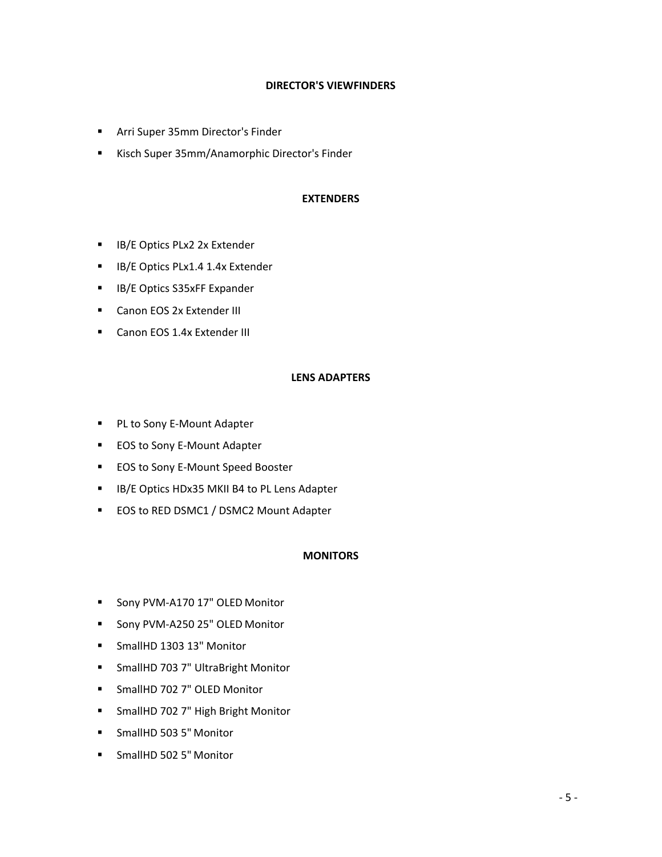# **DIRECTOR'S VIEWFINDERS**

- Arri Super 35mm Director's Finder
- Kisch Super 35mm/Anamorphic Director's Finder

# **EXTENDERS**

- **IB/E Optics PLx2 2x Extender**
- **IB/E Optics PLx1.4 1.4x Extender**
- IB/E Optics S35xFF Expander
- Canon EOS 2x Extender III
- Canon EOS 1.4x Extender III

# **LENS ADAPTERS**

- PL to Sony E-Mount Adapter
- EOS to Sony E-Mount Adapter
- EOS to Sony E-Mount Speed Booster
- IB/E Optics HDx35 MKII B4 to PL Lens Adapter
- EOS to RED DSMC1 / DSMC2 Mount Adapter

# **MONITORS**

- Sony PVM-A170 17" OLED Monitor
- Sony PVM-A250 25" OLED Monitor
- SmallHD 1303 13" Monitor
- SmallHD 703 7" UltraBright Monitor
- SmallHD 702 7" OLED Monitor
- SmallHD 702 7" High Bright Monitor
- SmallHD 503 5" Monitor
- SmallHD 502 5" Monitor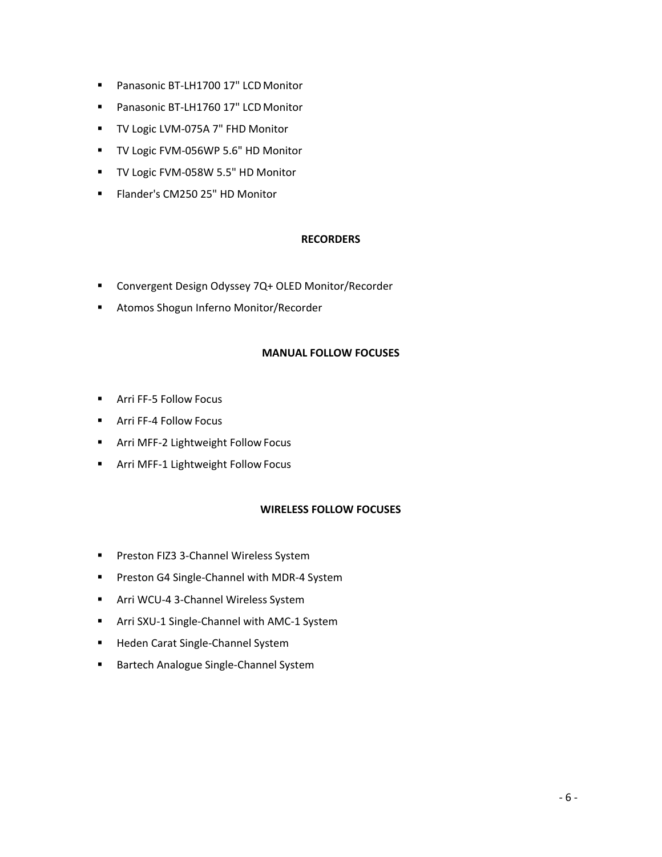- Panasonic BT-LH1700 17" LCD Monitor
- Panasonic BT-LH1760 17" LCD Monitor
- TV Logic LVM-075A 7" FHD Monitor
- TV Logic FVM-056WP 5.6" HD Monitor
- TV Logic FVM-058W 5.5" HD Monitor
- Flander's CM250 25" HD Monitor

# **RECORDERS**

- Convergent Design Odyssey 7Q+ OLED Monitor/Recorder
- Atomos Shogun Inferno Monitor/Recorder

#### **MANUAL FOLLOW FOCUSES**

- Arri FF-5 Follow Focus
- Arri FF-4 Follow Focus
- Arri MFF-2 Lightweight Follow Focus
- Arri MFF-1 Lightweight Follow Focus

# **WIRELESS FOLLOW FOCUSES**

- Preston FIZ3 3-Channel Wireless System
- Preston G4 Single-Channel with MDR-4 System
- **E** Arri WCU-4 3-Channel Wireless System
- Arri SXU-1 Single-Channel with AMC-1 System
- Heden Carat Single-Channel System
- Bartech Analogue Single-Channel System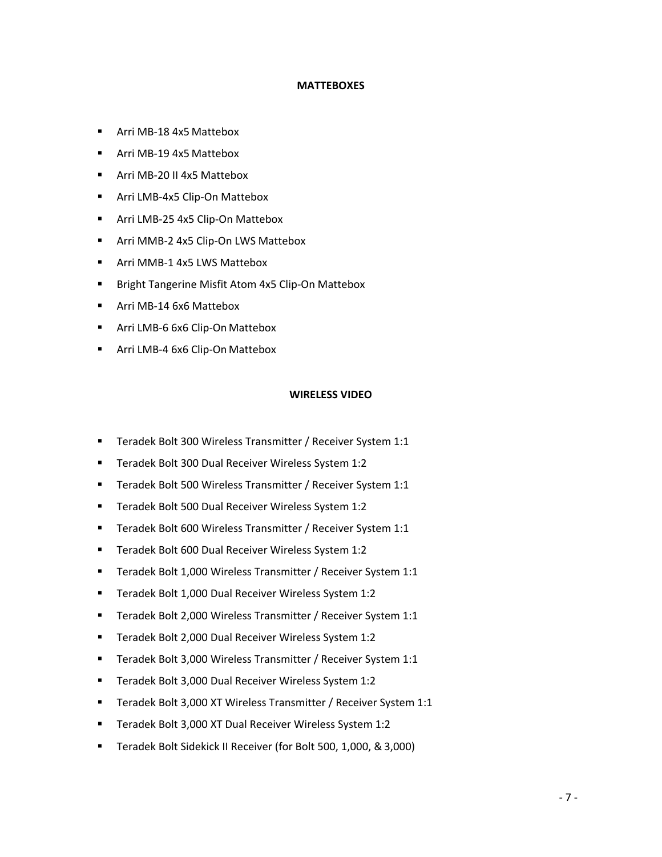#### **MATTEBOXES**

- Arri MB-18 4x5 Mattebox
- Arri MB-19 4x5 Mattebox
- Arri MB-20 II 4x5 Mattebox
- Arri LMB-4x5 Clip-On Mattebox
- Arri LMB-25 4x5 Clip-On Mattebox
- Arri MMB-2 4x5 Clip-On LWS Mattebox
- Arri MMB-1 4x5 LWS Mattebox
- Bright Tangerine Misfit Atom 4x5 Clip-On Mattebox
- Arri MB-14 6x6 Mattebox
- Arri LMB-6 6x6 Clip-On Mattebox
- Arri LMB-4 6x6 Clip-On Mattebox

#### **WIRELESS VIDEO**

- Teradek Bolt 300 Wireless Transmitter / Receiver System 1:1
- Teradek Bolt 300 Dual Receiver Wireless System 1:2
- Teradek Bolt 500 Wireless Transmitter / Receiver System 1:1
- Teradek Bolt 500 Dual Receiver Wireless System 1:2
- Teradek Bolt 600 Wireless Transmitter / Receiver System 1:1
- Teradek Bolt 600 Dual Receiver Wireless System 1:2
- Teradek Bolt 1,000 Wireless Transmitter / Receiver System 1:1
- Teradek Bolt 1,000 Dual Receiver Wireless System 1:2
- Teradek Bolt 2,000 Wireless Transmitter / Receiver System 1:1
- Teradek Bolt 2,000 Dual Receiver Wireless System 1:2
- Teradek Bolt 3,000 Wireless Transmitter / Receiver System 1:1
- Teradek Bolt 3,000 Dual Receiver Wireless System 1:2
- Teradek Bolt 3,000 XT Wireless Transmitter / Receiver System 1:1
- Teradek Bolt 3,000 XT Dual Receiver Wireless System 1:2
- Teradek Bolt Sidekick II Receiver (for Bolt 500, 1,000, & 3,000)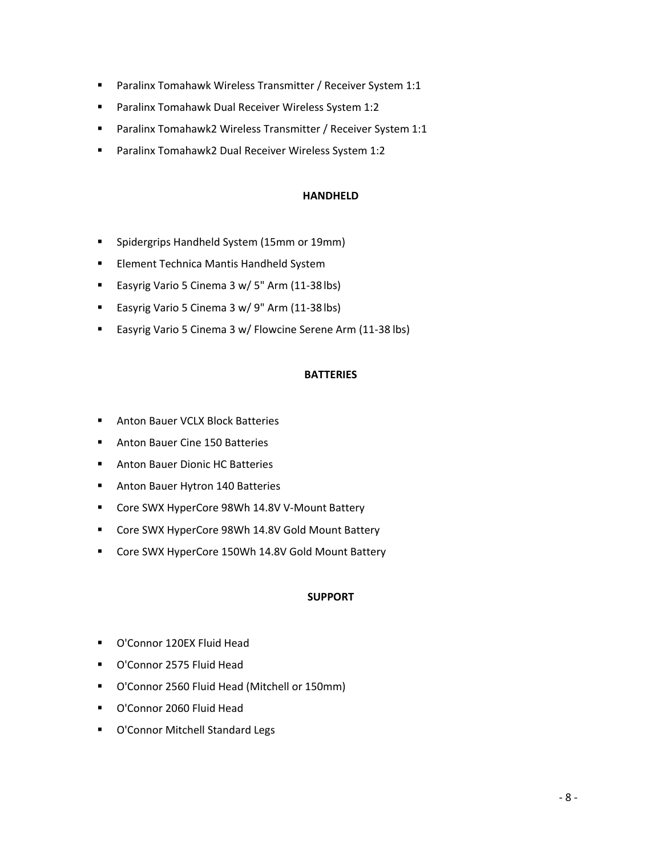- Paralinx Tomahawk Wireless Transmitter / Receiver System 1:1
- Paralinx Tomahawk Dual Receiver Wireless System 1:2
- Paralinx Tomahawk2 Wireless Transmitter / Receiver System 1:1
- Paralinx Tomahawk2 Dual Receiver Wireless System 1:2

# **HANDHELD**

- Spidergrips Handheld System (15mm or 19mm)
- Element Technica Mantis Handheld System
- Easyrig Vario 5 Cinema 3 w/ 5" Arm (11-38 lbs)
- Easyrig Vario 5 Cinema 3 w/ 9" Arm (11-38 lbs)
- Easyrig Vario 5 Cinema 3 w/ Flowcine Serene Arm (11-38 lbs)

# **BATTERIES**

- Anton Bauer VCLX Block Batteries
- Anton Bauer Cine 150 Batteries
- Anton Bauer Dionic HC Batteries
- Anton Bauer Hytron 140 Batteries
- Core SWX HyperCore 98Wh 14.8V V-Mount Battery
- Core SWX HyperCore 98Wh 14.8V Gold Mount Battery
- Core SWX HyperCore 150Wh 14.8V Gold Mount Battery

# **SUPPORT**

- O'Connor 120EX Fluid Head
- O'Connor 2575 Fluid Head
- O'Connor 2560 Fluid Head (Mitchell or 150mm)
- O'Connor 2060 Fluid Head
- O'Connor Mitchell Standard Legs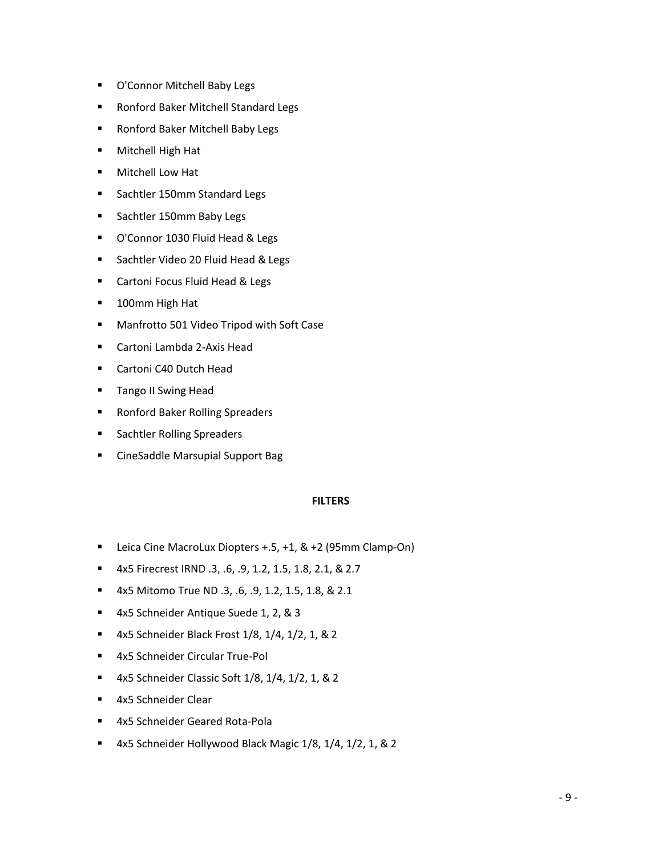- O'Connor Mitchell Baby Legs
- Ronford Baker Mitchell Standard Legs
- Ronford Baker Mitchell Baby Legs
- Mitchell High Hat
- Mitchell Low Hat
- Sachtler 150mm Standard Legs
- Sachtler 150mm Baby Legs
- O'Connor 1030 Fluid Head & Legs
- Sachtler Video 20 Fluid Head & Legs
- Cartoni Focus Fluid Head & Legs
- 100mm High Hat
- Manfrotto 501 Video Tripod with Soft Case
- Cartoni Lambda 2-Axis Head
- Cartoni C40 Dutch Head
- Tango II Swing Head
- Ronford Baker Rolling Spreaders
- Sachtler Rolling Spreaders
- CineSaddle Marsupial Support Bag

# **FILTERS**

- Leica Cine MacroLux Diopters +.5, +1, & +2 (95mm Clamp-On)
- 4x5 Firecrest IRND .3, .6, .9, 1.2, 1.5, 1.8, 2.1, & 2.7
- 4x5 Mitomo True ND .3, .6, .9, 1.2, 1.5, 1.8, & 2.1
- 4x5 Schneider Antique Suede 1, 2, & 3
- 4x5 Schneider Black Frost 1/8, 1/4, 1/2, 1, & 2
- 4x5 Schneider Circular True-Pol
- 4x5 Schneider Classic Soft 1/8, 1/4, 1/2, 1, & 2
- 4x5 Schneider Clear
- 4x5 Schneider Geared Rota-Pola
- 4x5 Schneider Hollywood Black Magic 1/8, 1/4, 1/2, 1, & 2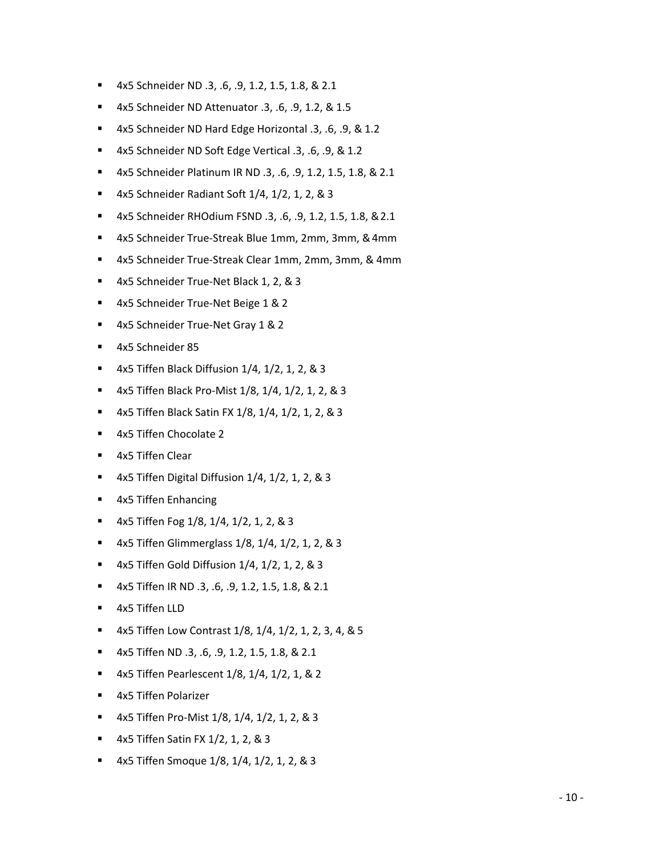- 4x5 Schneider ND .3, .6, .9, 1.2, 1.5, 1.8, & 2.1
- 4x5 Schneider ND Attenuator .3, .6, .9, 1.2, & 1.5
- 4x5 Schneider ND Hard Edge Horizontal .3, .6, .9, & 1.2
- 4x5 Schneider ND Soft Edge Vertical .3, .6, .9, & 1.2
- 4x5 Schneider Platinum IR ND .3, .6, .9, 1.2, 1.5, 1.8, & 2.1
- 4x5 Schneider Radiant Soft 1/4, 1/2, 1, 2, & 3
- 4x5 Schneider RHOdium FSND .3, .6, .9, 1.2, 1.5, 1.8, &2.1
- 4x5 Schneider True-Streak Blue 1mm, 2mm, 3mm, & 4mm
- 4x5 Schneider True-Streak Clear 1mm, 2mm, 3mm, & 4mm
- 4x5 Schneider True-Net Black 1, 2, & 3
- 4x5 Schneider True-Net Beige 1 & 2
- 4x5 Schneider True-Net Gray 1 & 2
- 4x5 Schneider 85
- 4x5 Tiffen Black Diffusion  $1/4$ ,  $1/2$ ,  $1$ ,  $2$ , & 3
- 4x5 Tiffen Black Pro-Mist 1/8, 1/4, 1/2, 1, 2, & 3
- 4x5 Tiffen Black Satin FX 1/8, 1/4, 1/2, 1, 2, & 3
- 4x5 Tiffen Chocolate 2
- 4x5 Tiffen Clear
- 4x5 Tiffen Digital Diffusion  $1/4$ ,  $1/2$ ,  $1$ ,  $2$ ,  $8$ ,  $3$
- 4x5 Tiffen Enhancing
- $\blacksquare$  4x5 Tiffen Fog 1/8, 1/4, 1/2, 1, 2, & 3
- 4x5 Tiffen Glimmerglass 1/8, 1/4, 1/2, 1, 2, & 3
- 4x5 Tiffen Gold Diffusion  $1/4$ ,  $1/2$ ,  $1$ ,  $2$ ,  $8$ ,  $3$
- 4x5 Tiffen IR ND .3, .6, .9, 1.2, 1.5, 1.8, & 2.1
- 4x5 Tiffen LLD
- 4x5 Tiffen Low Contrast 1/8, 1/4, 1/2, 1, 2, 3, 4, & 5
- 4x5 Tiffen ND .3, .6, .9, 1.2, 1.5, 1.8, & 2.1
- 4x5 Tiffen Pearlescent 1/8, 1/4, 1/2, 1, & 2
- 4x5 Tiffen Polarizer
- 4x5 Tiffen Pro-Mist 1/8, 1/4, 1/2, 1, 2, & 3
- 4x5 Tiffen Satin FX 1/2, 1, 2, & 3
- 4x5 Tiffen Smoque 1/8, 1/4, 1/2, 1, 2, & 3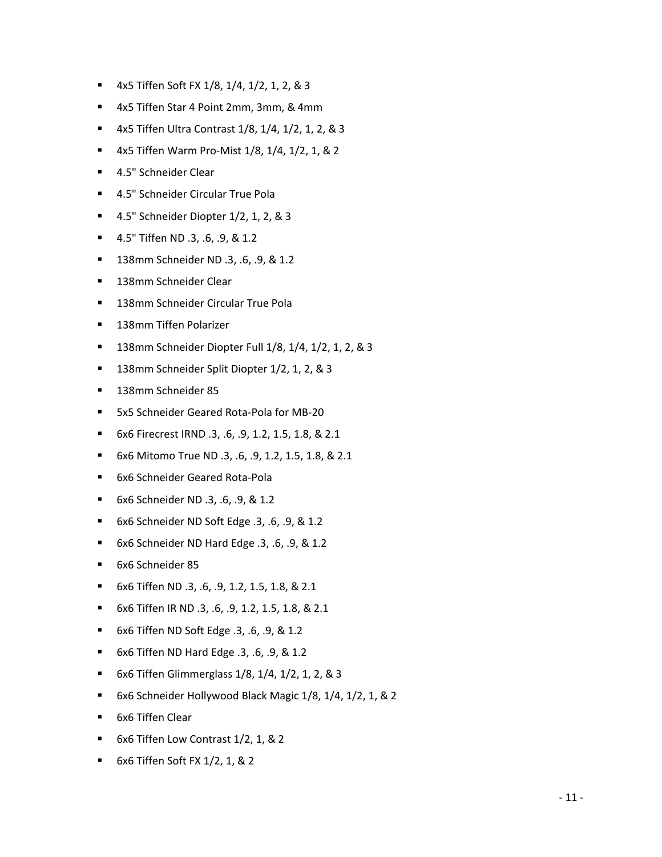- 4x5 Tiffen Soft FX 1/8, 1/4, 1/2, 1, 2, & 3
- 4x5 Tiffen Star 4 Point 2mm, 3mm, & 4mm
- 4x5 Tiffen Ultra Contrast 1/8, 1/4, 1/2, 1, 2, & 3
- 4x5 Tiffen Warm Pro-Mist 1/8, 1/4, 1/2, 1, & 2
- 4.5" Schneider Clear
- 4.5" Schneider Circular True Pola
- 4.5" Schneider Diopter 1/2, 1, 2, & 3
- 4.5" Tiffen ND .3, .6, .9, & 1.2
- 138mm Schneider ND .3, .6, .9, & 1.2
- 138mm Schneider Clear
- 138mm Schneider Circular True Pola
- 138mm Tiffen Polarizer
- 138mm Schneider Diopter Full 1/8, 1/4, 1/2, 1, 2, & 3
- 138mm Schneider Split Diopter 1/2, 1, 2, & 3
- 138mm Schneider 85
- 5x5 Schneider Geared Rota-Pola for MB-20
- 6x6 Firecrest IRND .3, .6, .9, 1.2, 1.5, 1.8, & 2.1
- 6x6 Mitomo True ND .3, .6, .9, 1.2, 1.5, 1.8, & 2.1
- 6x6 Schneider Geared Rota-Pola
- 6x6 Schneider ND .3, .6, .9, & 1.2
- 6x6 Schneider ND Soft Edge .3, .6, .9, & 1.2
- 6x6 Schneider ND Hard Edge .3, .6, .9, & 1.2
- 6x6 Schneider 85
- 6x6 Tiffen ND .3, .6, .9, 1.2, 1.5, 1.8, & 2.1
- 6x6 Tiffen IR ND .3, .6, .9, 1.2, 1.5, 1.8, & 2.1
- 6x6 Tiffen ND Soft Edge .3, .6, .9, & 1.2
- 6x6 Tiffen ND Hard Edge .3, .6, .9, & 1.2
- 6x6 Tiffen Glimmerglass 1/8, 1/4, 1/2, 1, 2, & 3
- 6x6 Schneider Hollywood Black Magic 1/8, 1/4, 1/2, 1, & 2
- 6x6 Tiffen Clear
- 6x6 Tiffen Low Contrast 1/2, 1, & 2
- 6x6 Tiffen Soft FX 1/2, 1, & 2